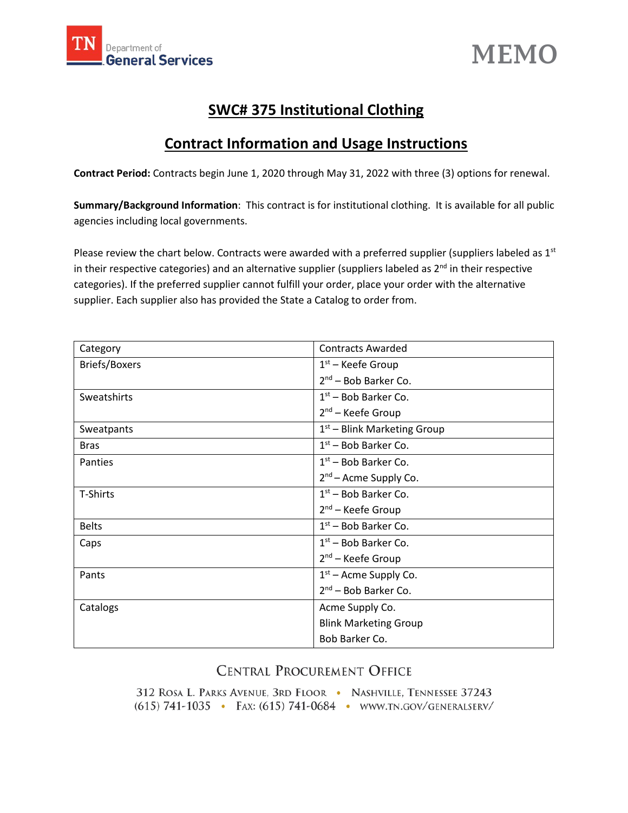



## **SWC# 375 Institutional Clothing**

# **Contract Information and Usage Instructions**

**Contract Period:** Contracts begin June 1, 2020 through May 31, 2022 with three (3) options for renewal.

**Summary/Background Information**: This contract is for institutional clothing. It is available for all public agencies including local governments.

Please review the chart below. Contracts were awarded with a preferred supplier (suppliers labeled as  $1<sup>st</sup>$ in their respective categories) and an alternative supplier (suppliers labeled as  $2^{nd}$  in their respective categories). If the preferred supplier cannot fulfill your order, place your order with the alternative supplier. Each supplier also has provided the State a Catalog to order from.

| Category             | <b>Contracts Awarded</b>          |
|----------------------|-----------------------------------|
| <b>Briefs/Boxers</b> | $1st$ – Keefe Group               |
|                      | $2nd$ – Bob Barker Co.            |
| Sweatshirts          | $1st$ – Bob Barker Co.            |
|                      | $2nd$ – Keefe Group               |
| Sweatpants           | $1st$ – Blink Marketing Group     |
| <b>Bras</b>          | $1st$ – Bob Barker Co.            |
| Panties              | $1st$ – Bob Barker Co.            |
|                      | 2 <sup>nd</sup> – Acme Supply Co. |
| T-Shirts             | $1st$ – Bob Barker Co.            |
|                      | $2nd$ – Keefe Group               |
| <b>Belts</b>         | $1st$ – Bob Barker Co.            |
| Caps                 | $1st$ – Bob Barker Co.            |
|                      | $2nd$ – Keefe Group               |
| Pants                | $1st$ – Acme Supply Co.           |
|                      | $2nd$ – Bob Barker Co.            |
| Catalogs             | Acme Supply Co.                   |
|                      | <b>Blink Marketing Group</b>      |
|                      | Bob Barker Co.                    |

## **CENTRAL PROCUREMENT OFFICE**

312 ROSA L. PARKS AVENUE, 3RD FLOOR · NASHVILLE, TENNESSEE 37243 (615) 741-1035 · FAX: (615) 741-0684 · WWW.TN.GOV/GENERALSERV/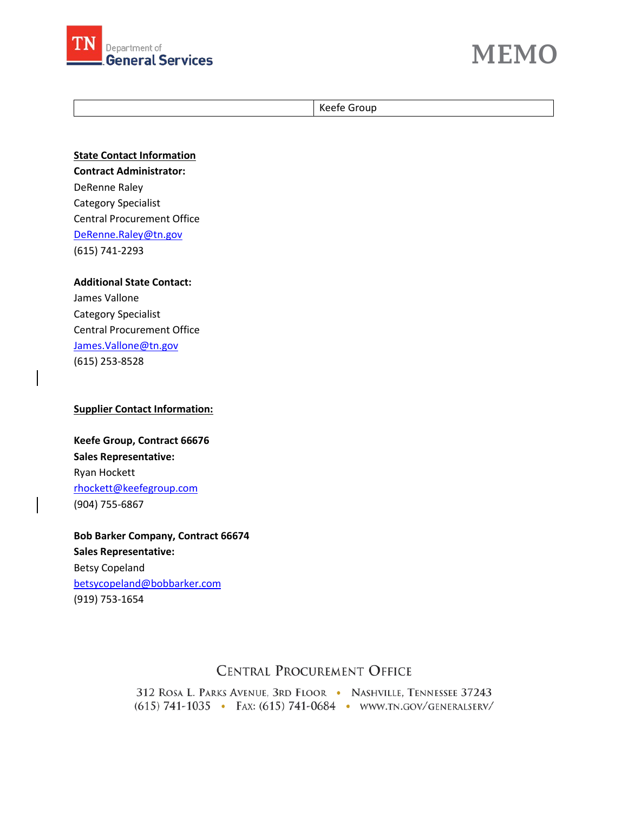



Keefe Group

**State Contact Information Contract Administrator:** DeRenne Raley Category Specialist Central Procurement Office [DeRenne.Raley@tn.gov](mailto:DeRenne.Raley@tn.gov) (615) 741-2293

**Additional State Contact:** James Vallone Category Specialist Central Procurement Office [James.Vallone@tn.gov](mailto:James.Vallone@tn.gov) (615) 253-8528

#### **Supplier Contact Information:**

**Keefe Group, Contract 66676 Sales Representative:** Ryan Hockett [rhockett@keefegroup.com](mailto:rhockett@keefegroup.com) (904) 755-6867

**Bob Barker Company, Contract 66674 Sales Representative:** Betsy Copeland [betsycopeland@bobbarker.com](mailto:betsycopeland@bobbarker.com) (919) 753-1654

### **CENTRAL PROCUREMENT OFFICE**

312 ROSA L. PARKS AVENUE, 3RD FLOOR · NASHVILLE, TENNESSEE 37243 (615) 741-1035 · FAX: (615) 741-0684 · WWW.TN.GOV/GENERALSERV/